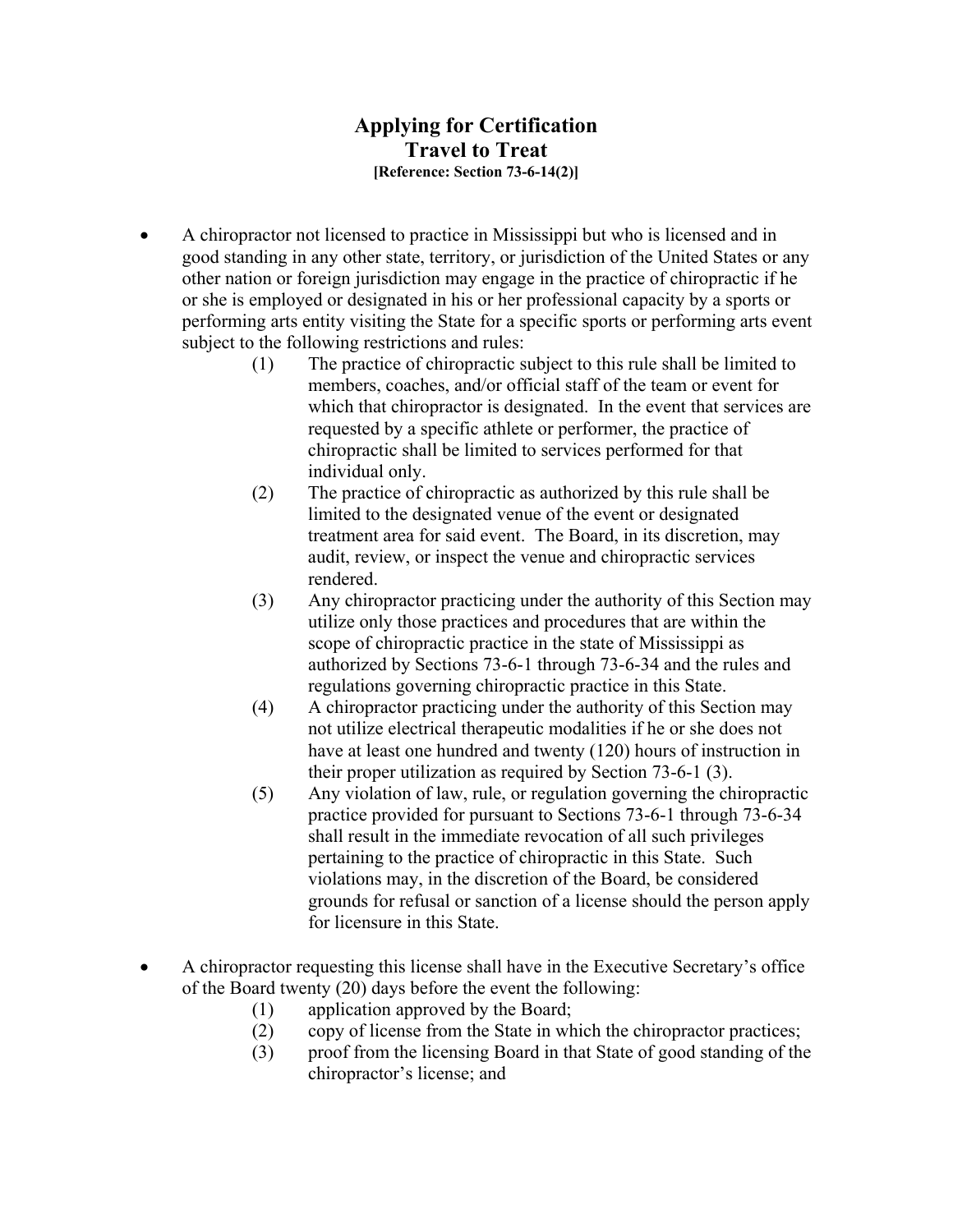## **Applying for Certification Travel to Treat [Reference: Section 73-6-14(2)]**

- A chiropractor not licensed to practice in Mississippi but who is licensed and in good standing in any other state, territory, or jurisdiction of the United States or any other nation or foreign jurisdiction may engage in the practice of chiropractic if he or she is employed or designated in his or her professional capacity by a sports or performing arts entity visiting the State for a specific sports or performing arts event subject to the following restrictions and rules:
	- (1) The practice of chiropractic subject to this rule shall be limited to members, coaches, and/or official staff of the team or event for which that chiropractor is designated. In the event that services are requested by a specific athlete or performer, the practice of chiropractic shall be limited to services performed for that individual only.
	- (2) The practice of chiropractic as authorized by this rule shall be limited to the designated venue of the event or designated treatment area for said event. The Board, in its discretion, may audit, review, or inspect the venue and chiropractic services rendered.
	- (3) Any chiropractor practicing under the authority of this Section may utilize only those practices and procedures that are within the scope of chiropractic practice in the state of Mississippi as authorized by Sections 73-6-1 through 73-6-34 and the rules and regulations governing chiropractic practice in this State.
	- (4) A chiropractor practicing under the authority of this Section may not utilize electrical therapeutic modalities if he or she does not have at least one hundred and twenty (120) hours of instruction in their proper utilization as required by Section 73-6-1 (3).
	- (5) Any violation of law, rule, or regulation governing the chiropractic practice provided for pursuant to Sections 73-6-1 through 73-6-34 shall result in the immediate revocation of all such privileges pertaining to the practice of chiropractic in this State. Such violations may, in the discretion of the Board, be considered grounds for refusal or sanction of a license should the person apply for licensure in this State.
- A chiropractor requesting this license shall have in the Executive Secretary's office of the Board twenty (20) days before the event the following:
	- (1) application approved by the Board;
	- (2) copy of license from the State in which the chiropractor practices;
	- (3) proof from the licensing Board in that State of good standing of the chiropractor's license; and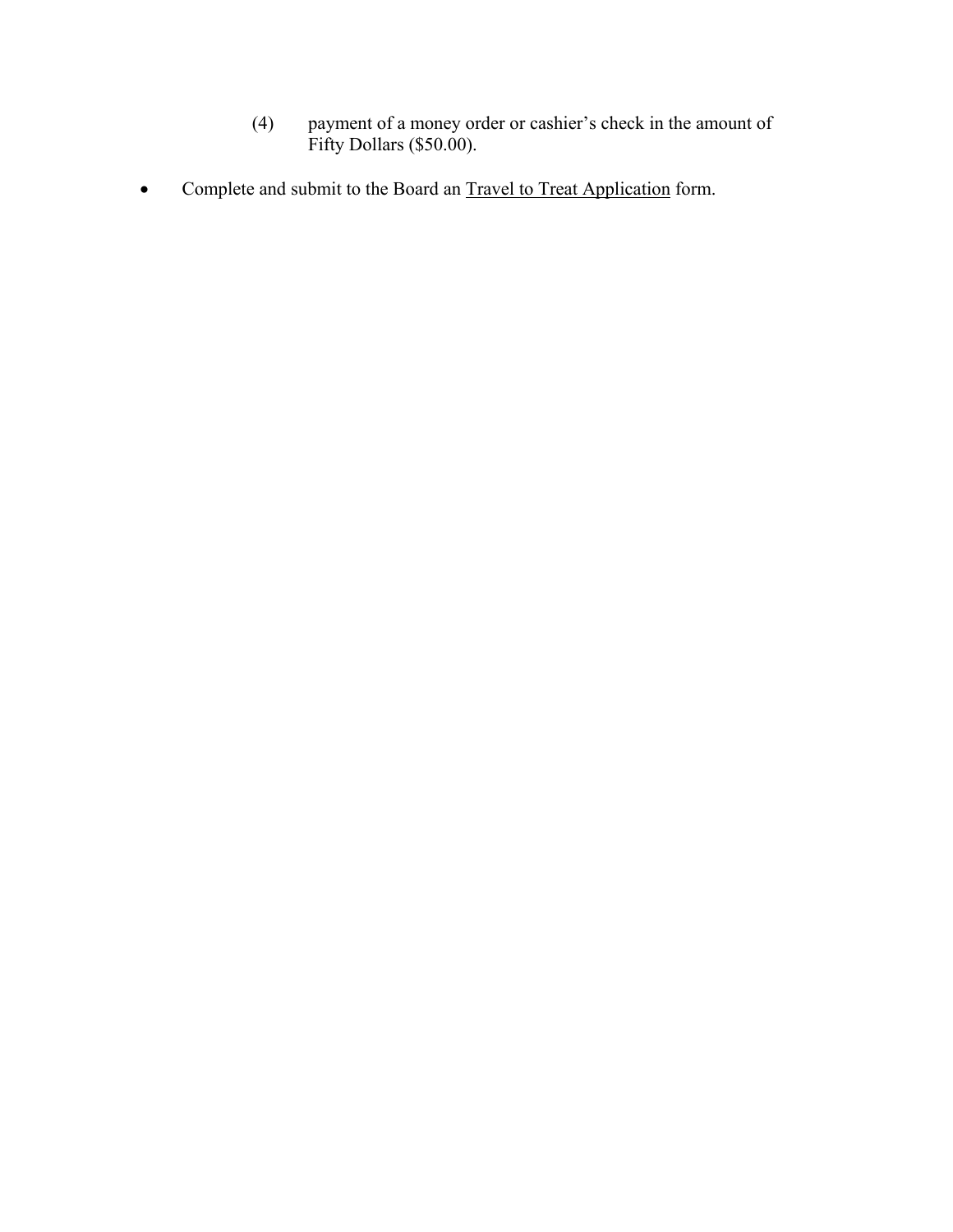- (4) payment of a money order or cashier's check in the amount of Fifty Dollars (\$50.00).
- Complete and submit to the Board an Travel to Treat Application form.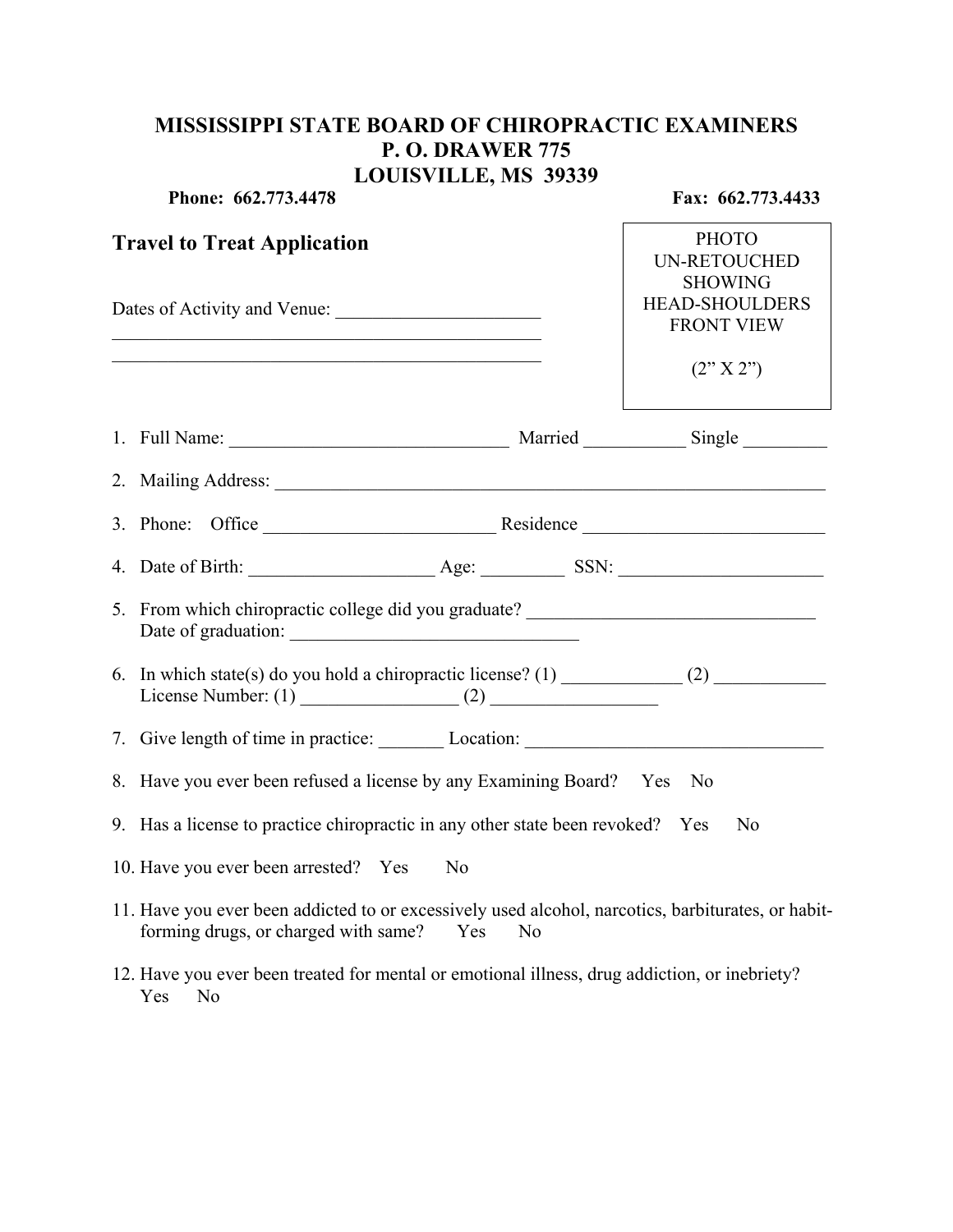## **MISSISSIPPI STATE BOARD OF CHIROPRACTIC EXAMINERS P. O. DRAWER 775 LOUISVILLE, MS 39339**

|                                                                                                                                                            | Phone: 662.773.4478                                                                                                                                                                                                            | Fax: 662.773.4433                                                                                                  |
|------------------------------------------------------------------------------------------------------------------------------------------------------------|--------------------------------------------------------------------------------------------------------------------------------------------------------------------------------------------------------------------------------|--------------------------------------------------------------------------------------------------------------------|
| <b>Travel to Treat Application</b><br><u> 1989 - Johann Stein, marwolaethau a bhann an t-Amhain an t-Amhain an t-Amhain an t-Amhain an t-Amhain an t-A</u> |                                                                                                                                                                                                                                | <b>PHOTO</b><br><b>UN-RETOUCHED</b><br><b>SHOWING</b><br><b>HEAD-SHOULDERS</b><br><b>FRONT VIEW</b><br>(2'' X 2'') |
|                                                                                                                                                            |                                                                                                                                                                                                                                |                                                                                                                    |
|                                                                                                                                                            |                                                                                                                                                                                                                                |                                                                                                                    |
|                                                                                                                                                            |                                                                                                                                                                                                                                |                                                                                                                    |
|                                                                                                                                                            |                                                                                                                                                                                                                                |                                                                                                                    |
|                                                                                                                                                            |                                                                                                                                                                                                                                |                                                                                                                    |
|                                                                                                                                                            | 5. From which chiropractic college did you graduate? ___________________________                                                                                                                                               |                                                                                                                    |
|                                                                                                                                                            | 6. In which state(s) do you hold a chiropractic license? (1) $\qquad \qquad$ (2)                                                                                                                                               |                                                                                                                    |
|                                                                                                                                                            | 7. Give length of time in practice: Location: Location: Location: Location: Location: Location: Location: Location: Location: Location: Location: Location: Location: Location: Location: Location: Location: Location: Locati |                                                                                                                    |
|                                                                                                                                                            | 8. Have you ever been refused a license by any Examining Board? Yes No                                                                                                                                                         |                                                                                                                    |
|                                                                                                                                                            | 9. Has a license to practice chiropractic in any other state been revoked? Yes                                                                                                                                                 | N <sub>0</sub>                                                                                                     |
|                                                                                                                                                            | 10. Have you ever been arrested? Yes<br>N <sub>0</sub>                                                                                                                                                                         |                                                                                                                    |
|                                                                                                                                                            | 11. Have you ever been addicted to or excessively used alcohol, narcotics, barbiturates, or habit-<br>forming drugs, or charged with same?<br>Yes<br>N <sub>0</sub>                                                            |                                                                                                                    |
|                                                                                                                                                            | 12. Have you ever been treated for mental or emotional illness, drug addiction, or inebriety?<br>Yes No                                                                                                                        |                                                                                                                    |